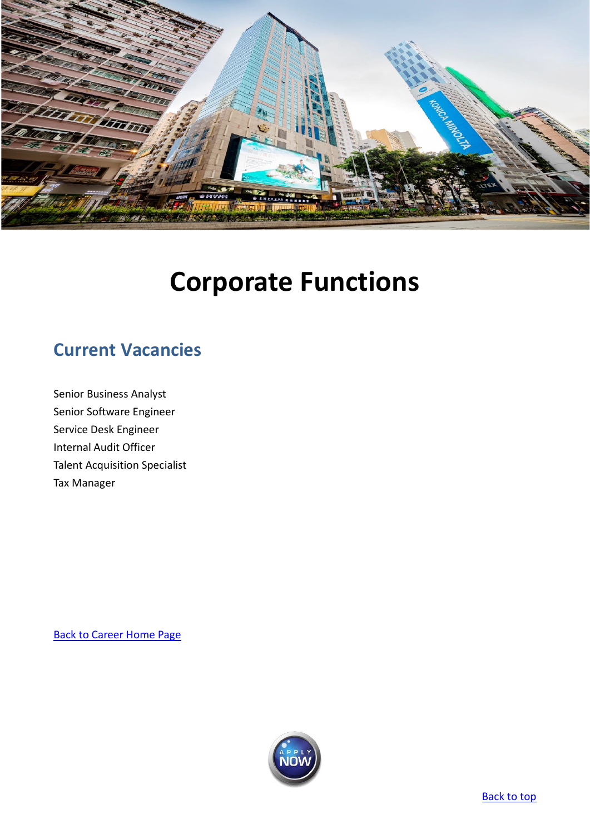

# **Corporate Functions**

# <span id="page-0-0"></span>**Current Vacancies**

[Senior Business Analyst](#page-1-0) [Senior Software Engineer](#page-3-0) [Service Desk Engineer](#page-5-0) [Internal Audit Officer](#page-7-0) [Talent Acquisition Specialist](#page-8-0) [Tax Manager](#page-9-0)

[Back to Career Home Page](http://www.emperorgroup.com/en/work-with-us/)

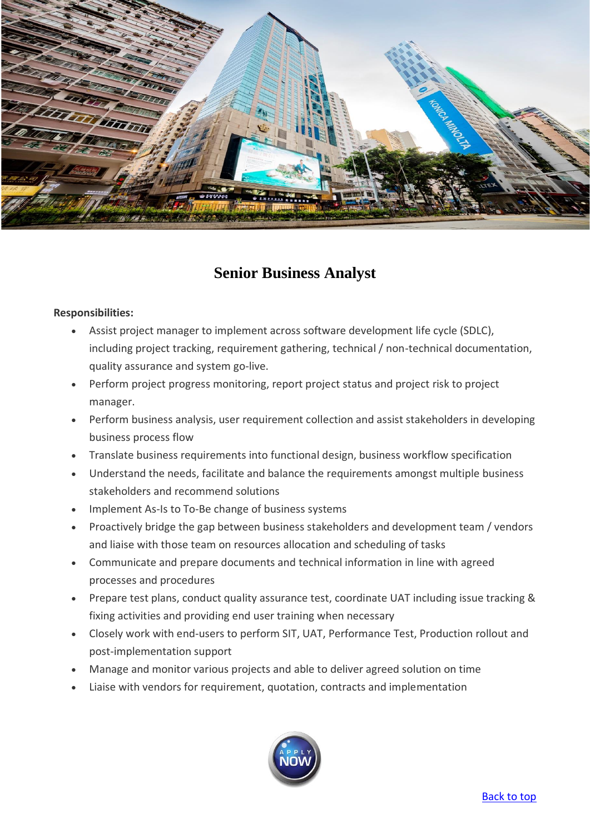

## **Senior Business Analyst**

#### <span id="page-1-0"></span>**Responsibilities:**

- Assist project manager to implement across software development life cycle (SDLC), including project tracking, requirement gathering, technical / non-technical documentation, quality assurance and system go-live.
- Perform project progress monitoring, report project status and project risk to project manager.
- Perform business analysis, user requirement collection and assist stakeholders in developing business process flow
- Translate business requirements into functional design, business workflow specification
- Understand the needs, facilitate and balance the requirements amongst multiple business stakeholders and recommend solutions
- Implement As-Is to To-Be change of business systems
- Proactively bridge the gap between business stakeholders and development team / vendors and liaise with those team on resources allocation and scheduling of tasks
- Communicate and prepare documents and technical information in line with agreed processes and procedures
- Prepare test plans, conduct quality assurance test, coordinate UAT including issue tracking & fixing activities and providing end user training when necessary
- Closely work with end-users to perform SIT, UAT, Performance Test, Production rollout and post-implementation support
- Manage and monitor various projects and able to deliver agreed solution on time
- Liaise with vendors for requirement, quotation, contracts and implementation

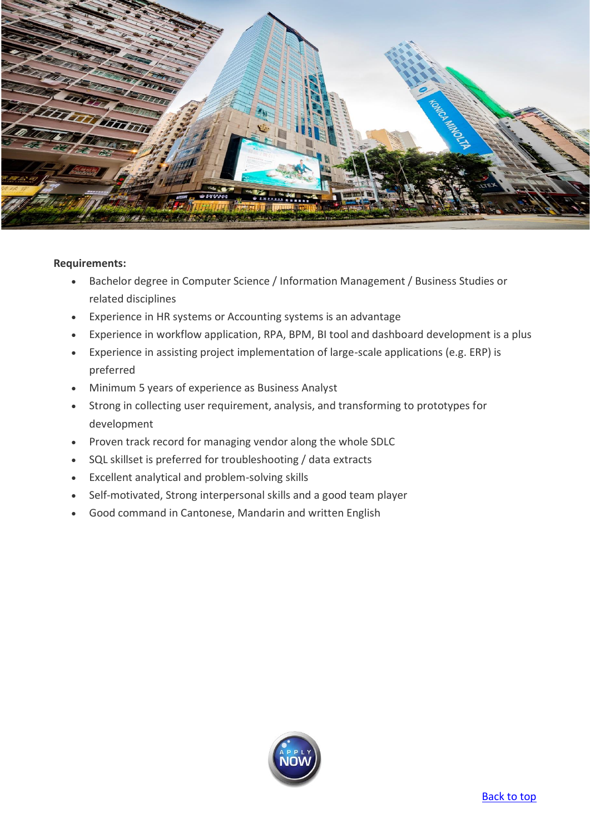

- Bachelor degree in Computer Science / Information Management / Business Studies or related disciplines
- Experience in HR systems or Accounting systems is an advantage
- Experience in workflow application, RPA, BPM, BI tool and dashboard development is a plus
- Experience in assisting project implementation of large-scale applications (e.g. ERP) is preferred
- Minimum 5 years of experience as Business Analyst
- Strong in collecting user requirement, analysis, and transforming to prototypes for development
- Proven track record for managing vendor along the whole SDLC
- SQL skillset is preferred for troubleshooting / data extracts
- Excellent analytical and problem-solving skills
- Self-motivated, Strong interpersonal skills and a good team player
- Good command in Cantonese, Mandarin and written English

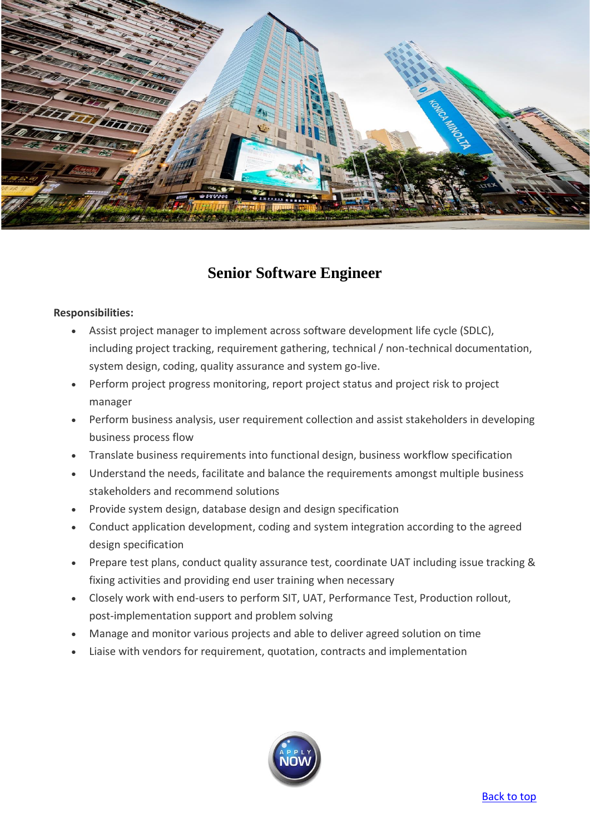

## **Senior Software Engineer**

#### <span id="page-3-0"></span>**Responsibilities:**

- Assist project manager to implement across software development life cycle (SDLC), including project tracking, requirement gathering, technical / non-technical documentation, system design, coding, quality assurance and system go-live.
- Perform project progress monitoring, report project status and project risk to project manager
- Perform business analysis, user requirement collection and assist stakeholders in developing business process flow
- Translate business requirements into functional design, business workflow specification
- Understand the needs, facilitate and balance the requirements amongst multiple business stakeholders and recommend solutions
- Provide system design, database design and design specification
- Conduct application development, coding and system integration according to the agreed design specification
- Prepare test plans, conduct quality assurance test, coordinate UAT including issue tracking & fixing activities and providing end user training when necessary
- Closely work with end-users to perform SIT, UAT, Performance Test, Production rollout, post-implementation support and problem solving
- Manage and monitor various projects and able to deliver agreed solution on time
- Liaise with vendors for requirement, quotation, contracts and implementation

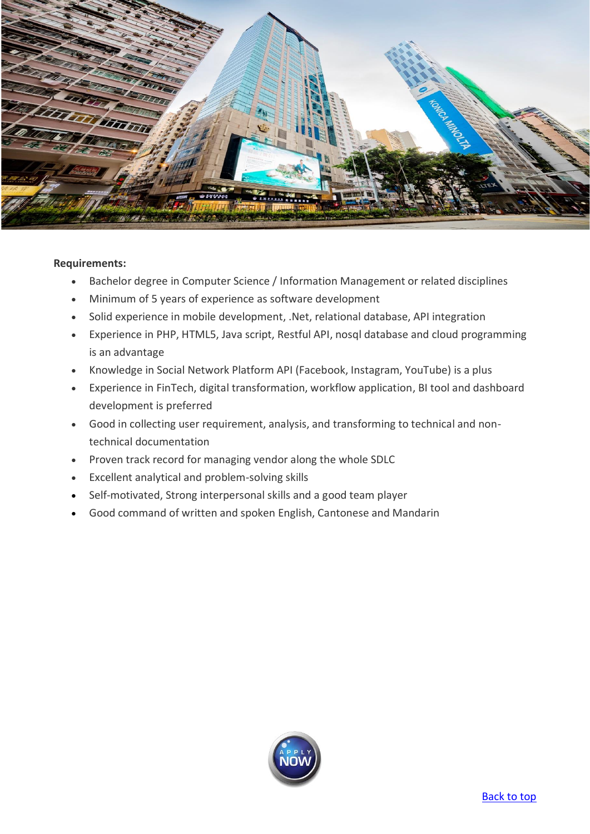

- Bachelor degree in Computer Science / Information Management or related disciplines
- Minimum of 5 years of experience as software development
- Solid experience in mobile development, .Net, relational database, API integration
- Experience in PHP, HTML5, Java script, Restful API, nosql database and cloud programming is an advantage
- Knowledge in Social Network Platform API (Facebook, Instagram, YouTube) is a plus
- Experience in FinTech, digital transformation, workflow application, BI tool and dashboard development is preferred
- Good in collecting user requirement, analysis, and transforming to technical and nontechnical documentation
- Proven track record for managing vendor along the whole SDLC
- Excellent analytical and problem-solving skills
- Self-motivated, Strong interpersonal skills and a good team player
- Good command of written and spoken English, Cantonese and Mandarin

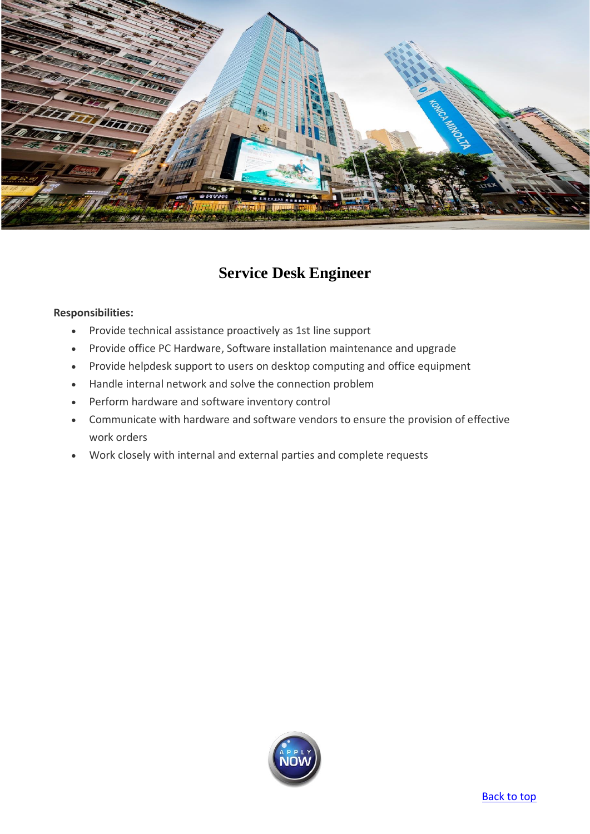

# **Service Desk Engineer**

#### <span id="page-5-0"></span>**Responsibilities:**

- Provide technical assistance proactively as 1st line support
- Provide office PC Hardware, Software installation maintenance and upgrade
- Provide helpdesk support to users on desktop computing and office equipment
- Handle internal network and solve the connection problem
- Perform hardware and software inventory control
- Communicate with hardware and software vendors to ensure the provision of effective work orders
- Work closely with internal and external parties and complete requests

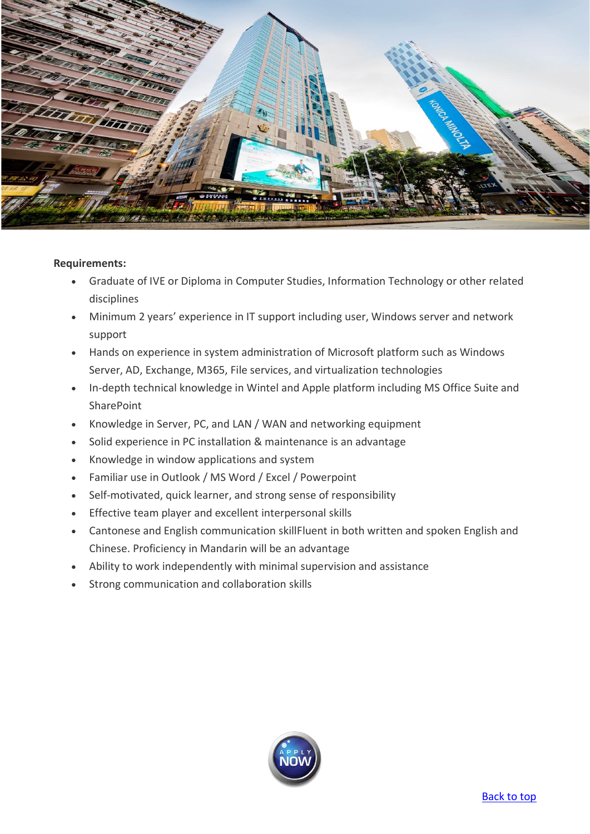

- Graduate of IVE or Diploma in Computer Studies, Information Technology or other related disciplines
- Minimum 2 years' experience in IT support including user, Windows server and network support
- Hands on experience in system administration of Microsoft platform such as Windows Server, AD, Exchange, M365, File services, and virtualization technologies
- In-depth technical knowledge in Wintel and Apple platform including MS Office Suite and **SharePoint**
- Knowledge in Server, PC, and LAN / WAN and networking equipment
- Solid experience in PC installation & maintenance is an advantage
- Knowledge in window applications and system
- Familiar use in Outlook / MS Word / Excel / Powerpoint
- Self-motivated, quick learner, and strong sense of responsibility
- Effective team player and excellent interpersonal skills
- Cantonese and English communication skillFluent in both written and spoken English and Chinese. Proficiency in Mandarin will be an advantage
- Ability to work independently with minimal supervision and assistance
- Strong communication and collaboration skills

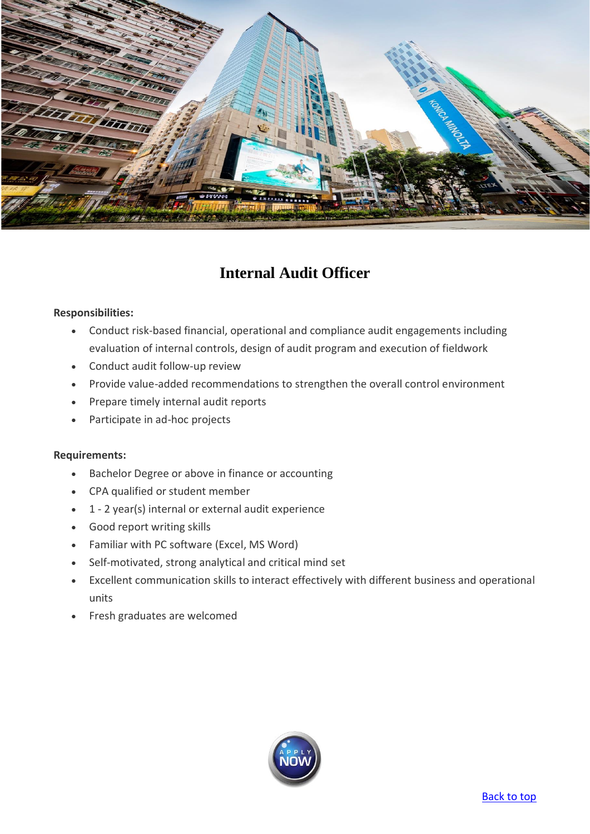

# **Internal Audit Officer**

#### <span id="page-7-0"></span>**Responsibilities:**

- Conduct risk-based financial, operational and compliance audit engagements including evaluation of internal controls, design of audit program and execution of fieldwork
- Conduct audit follow-up review
- Provide value-added recommendations to strengthen the overall control environment
- Prepare timely internal audit reports
- Participate in ad-hoc projects

- Bachelor Degree or above in finance or accounting
- CPA qualified or student member
- 1 2 year(s) internal or external audit experience
- Good report writing skills
- Familiar with PC software (Excel, MS Word)
- Self-motivated, strong analytical and critical mind set
- Excellent communication skills to interact effectively with different business and operational units
- Fresh graduates are welcomed

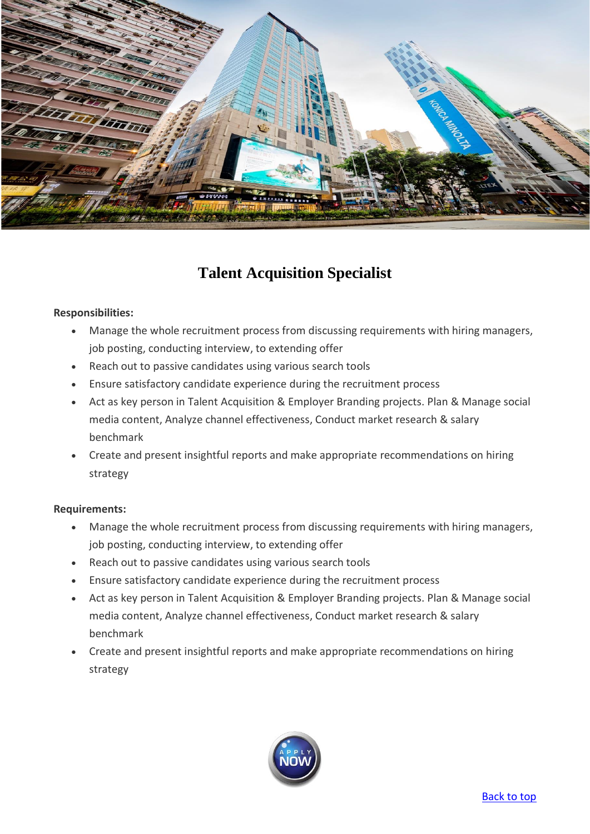

# **Talent Acquisition Specialist**

#### <span id="page-8-0"></span>**Responsibilities:**

- Manage the whole recruitment process from discussing requirements with hiring managers, job posting, conducting interview, to extending offer
- Reach out to passive candidates using various search tools
- Ensure satisfactory candidate experience during the recruitment process
- Act as key person in Talent Acquisition & Employer Branding projects. Plan & Manage social media content, Analyze channel effectiveness, Conduct market research & salary benchmark
- Create and present insightful reports and make appropriate recommendations on hiring strategy

- Manage the whole recruitment process from discussing requirements with hiring managers, job posting, conducting interview, to extending offer
- Reach out to passive candidates using various search tools
- Ensure satisfactory candidate experience during the recruitment process
- Act as key person in Talent Acquisition & Employer Branding projects. Plan & Manage social media content, Analyze channel effectiveness, Conduct market research & salary benchmark
- Create and present insightful reports and make appropriate recommendations on hiring strategy